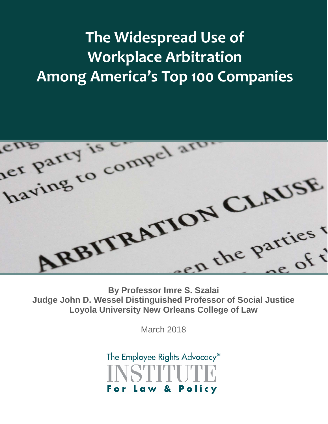# **The Widespread Use of Workplace Arbitration Among America's Top 100 Companies**



**Judge John D. Wessel Distinguished Professor of Social Justice Loyola University New Orleans College of Law** 

March 2018

The Employee Rights Advocacy® Law & Policy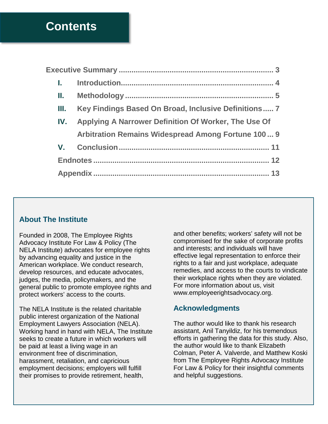## **Contents**

| Ш. | Key Findings Based On Broad, Inclusive Definitions 7     |
|----|----------------------------------------------------------|
|    | IV. Applying A Narrower Definition Of Worker, The Use Of |
|    | Arbitration Remains Widespread Among Fortune 100  9      |
|    |                                                          |
|    |                                                          |
|    |                                                          |
|    |                                                          |

### **About The Institute**

Founded in 2008, The Employee Rights Advocacy Institute For Law & Policy (The NELA Institute) advocates for employee rights by advancing equality and justice in the American workplace. We conduct research, develop resources, and educate advocates, judges, the media, policymakers, and the general public to promote employee rights and protect workers' access to the courts.

The NELA Institute is the related charitable public interest organization of the National Employment Lawyers Association (NELA). Working hand in hand with NELA, The Institute seeks to create a future in which workers will be paid at least a living wage in an environment free of discrimination, harassment, retaliation, and capricious employment decisions; employers will fulfill their promises to provide retirement, health,

and other benefits; workers' safety will not be compromised for the sake of corporate profits and interests; and individuals will have effective legal representation to enforce their rights to a fair and just workplace, adequate remedies, and access to the courts to vindicate their workplace rights when they are violated. For more information about us, visit www.employeerightsadvocacy.org.

### **Acknowledgments**

The author would like to thank his research assistant, Anil Tanyildiz, for his tremendous efforts in gathering the data for this study. Also, the author would like to thank Elizabeth Colman, Peter A. Valverde, and Matthew Koski from The Employee Rights Advocacy Institute For Law & Policy for their insightful comments and helpful suggestions.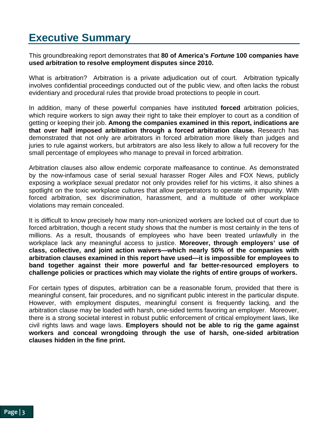# <span id="page-2-0"></span>**Executive Summary**

This groundbreaking report demonstrates that **80 of America's** *Fortune* **100 companies have used arbitration to resolve employment disputes since 2010.** 

What is arbitration? Arbitration is a private adjudication out of court. Arbitration typically involves confidential proceedings conducted out of the public view, and often lacks the robust evidentiary and procedural rules that provide broad protections to people in court.

In addition, many of these powerful companies have instituted **forced** arbitration policies, which require workers to sign away their right to take their employer to court as a condition of getting or keeping their job. **Among the companies examined in this report, indications are that over half imposed arbitration through a forced arbitration clause.** Research has demonstrated that not only are arbitrators in forced arbitration more likely than judges and juries to rule against workers, but arbitrators are also less likely to allow a full recovery for the small percentage of employees who manage to prevail in forced arbitration.

Arbitration clauses also allow endemic corporate malfeasance to continue. As demonstrated by the now-infamous case of serial sexual harasser Roger Ailes and FOX News, publicly exposing a workplace sexual predator not only provides relief for his victims, it also shines a spotlight on the toxic workplace cultures that allow perpetrators to operate with impunity. With forced arbitration, sex discrimination, harassment, and a multitude of other workplace violations may remain concealed.

It is difficult to know precisely how many non-unionized workers are locked out of court due to forced arbitration, though a recent study shows that the number is most certainly in the tens of millions. As a result, thousands of employees who have been treated unlawfully in the workplace lack any meaningful access to justice. **Moreover, through employers' use of class, collective, and joint action waivers—which nearly 50% of the companies with arbitration clauses examined in this report have used—it is impossible for employees to band together against their more powerful and far better-resourced employers to challenge policies or practices which may violate the rights of entire groups of workers.**

For certain types of disputes, arbitration can be a reasonable forum, provided that there is meaningful consent, fair procedures, and no significant public interest in the particular dispute. However, with employment disputes, meaningful consent is frequently lacking, and the arbitration clause may be loaded with harsh, one-sided terms favoring an employer. Moreover, there is a strong societal interest in robust public enforcement of critical employment laws, like civil rights laws and wage laws. **Employers should not be able to rig the game against workers and conceal wrongdoing through the use of harsh, one-sided arbitration clauses hidden in the fine print.**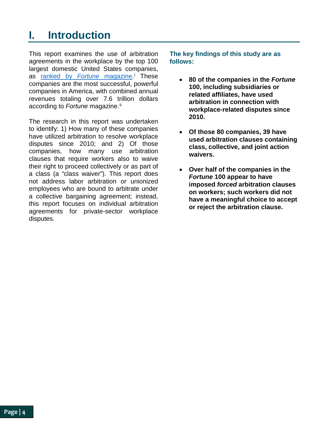# <span id="page-3-0"></span>**I. Introduction**

This report examines the use of arbitration agreements in the workplace by the top 100 largest domestic United States companies, as [ranked by](http://fortune.com/fortune500/list/) *Fortune* magazine. [i](#page-11-1) These companies are the most successful, powerful companies in America, with combined annual revenues totaling over 7.6 trillion dollars according to *Fortune* magazine.<sup>[ii](#page-11-2)</sup>

The research in this report was undertaken to identify: 1) How many of these companies have utilized arbitration to resolve workplace disputes since 2010; and 2) Of those companies, how many use arbitration clauses that require workers also to waive their right to proceed collectively or as part of a class (a "class waiver"). This report does not address labor arbitration or unionized employees who are bound to arbitrate under a collective bargaining agreement; instead, this report focuses on individual arbitration agreements for private-sector workplace disputes.

**The key findings of this study are as follows:**

- **80 of the companies in the** *Fortune* **100, including subsidiaries or related affiliates, have used arbitration in connection with workplace-related disputes since 2010.**
- **Of those 80 companies, 39 have used arbitration clauses containing class, collective, and joint action waivers.**
- **Over half of the companies in the** *Fortune* **100 appear to have imposed** *forced* **arbitration clauses on workers; such workers did not have a meaningful choice to accept or reject the arbitration clause.**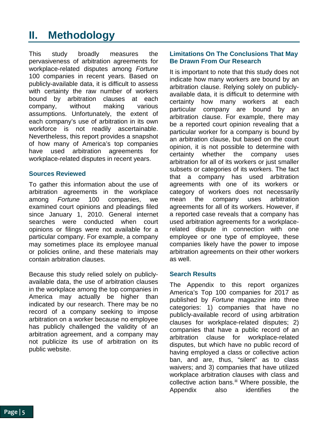# <span id="page-4-0"></span>**II. Methodology**

This study broadly measures the pervasiveness of arbitration agreements for workplace-related disputes among *Fortune* 100 companies in recent years. Based on publicly-available data, it is difficult to assess with certainty the raw number of workers bound by arbitration clauses at each company, without making various assumptions. Unfortunately, the extent of each company's use of arbitration in its own workforce is not readily ascertainable. Nevertheless, this report provides a snapshot of how many of America's top companies have used arbitration agreements for workplace-related disputes in recent years.

#### **Sources Reviewed**

To gather this information about the use of arbitration agreements in the workplace among *Fortune* 100 companies, we examined court opinions and pleadings filed since January 1, 2010. General internet searches were conducted when court opinions or filings were not available for a particular company. For example, a company may sometimes place its employee manual or policies online, and these materials may contain arbitration clauses.

Because this study relied solely on publiclyavailable data, the use of arbitration clauses in the workplace among the top companies in America may actually be higher than indicated by our research. There may be no record of a company seeking to impose arbitration on a worker because no employee has publicly challenged the validity of an arbitration agreement, and a company may not publicize its use of arbitration on its public website.

#### **Limitations On The Conclusions That May Be Drawn From Our Research**

It is important to note that this study does not indicate how many workers are bound by an arbitration clause. Relying solely on publiclyavailable data, it is difficult to determine with certainty how many workers at each particular company are bound by an arbitration clause. For example, there may be a reported court opinion revealing that a particular worker for a company is bound by an arbitration clause, but based on the court opinion, it is not possible to determine with certainty whether the company uses arbitration for all of its workers or just smaller subsets or categories of its workers. The fact that a company has used arbitration agreements with one of its workers or category of workers does not necessarily mean the company uses arbitration agreements for all of its workers. However, if a reported case reveals that a company has used arbitration agreements for a workplacerelated dispute in connection with one employee or one type of employee, these companies likely have the power to impose arbitration agreements on their other workers as well.

#### **Search Results**

The Appendix to this report organizes America's Top 100 companies for 2017 as published by *Fortune* magazine into three categories: 1) companies that have no publicly-available record of using arbitration clauses for workplace-related disputes; 2) companies that have a public record of an arbitration clause for workplace-related disputes, but which have no public record of having employed a class or collective action ban, and are, thus, "silent" as to class waivers; and 3) companies that have utilized workplace arbitration clauses with class and collective action bans.<sup>[iii](#page-11-3)</sup> Where possible, the Appendix also identifies the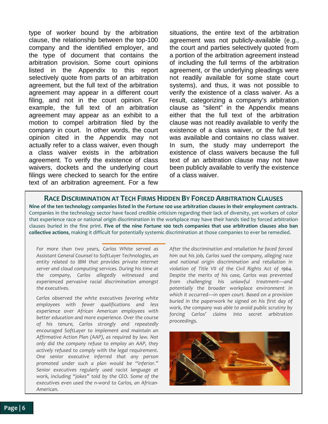type of worker bound by the arbitration clause, the relationship between the top-100 company and the identified employer, and the type of document that contains the arbitration provision. Some court opinions listed in the Appendix to this report selectively quote from parts of an arbitration agreement, but the full text of the arbitration agreement may appear in a different court filing, and not in the court opinion. For example, the full text of an arbitration agreement may appear as an exhibit to a motion to compel arbitration filed by the company in court. In other words, the court opinion cited in the Appendix may not actually refer to a class waiver, even though a class waiver exists in the arbitration agreement. To verify the existence of class waivers, dockets and the underlying court filings were checked to search for the entire text of an arbitration agreement. For a few

situations, the entire text of the arbitration agreement was not publicly-available (e.g., the court and parties selectively quoted from a portion of the arbitration agreement instead of including the full terms of the arbitration agreement, or the underlying pleadings were not readily available for some state court systems), and thus, it was not possible to verify the existence of a class waiver. As a result, categorizing a company's arbitration clause as "silent" in the Appendix means either that the full text of the arbitration clause was not readily available to verify the existence of a class waiver, or the full text was available and contains no class waiver. In sum, the study may underreport the existence of class waivers because the full text of an arbitration clause may not have been publicly available to verify the existence of a class waiver.

### **RACE DISCRIMINATION AT TECH FIRMS HIDDEN BY FORCED ARBITRATION CLAUSES**

**Nine of the ten technology companies listed in the** *Fortune* **100 use arbitration clauses in their employment contracts**. Companies in the technology sector have faced credible criticism regarding their lack of diversity, yet workers of color that experience race or national origin discrimination in the workplace may have their hands tied by forced arbitration clauses buried in the fine print. **Five of the nine** *Fortune* **100 tech companies that use arbitration clauses also ban collective actions**, making it difficult for potentially systemic discrimination at those companies to ever be remedied.

*For more than two years, Carlos White served as Assistant General Counsel to SoftLayer Technologies, an entity related to IBM that provides private internet server and cloud computing services. During his time at the company, Carlos allegedly witnessed and experienced pervasive racial discrimination amongst the executives.* 

*Carlos observed the white executives favoring white employees with fewer qualifications and less experience over African American employees with better education and more experience. Over the course of his tenure, Carlos strongly and repeatedly encouraged SoftLayer to implement and maintain an Affirmative Action Plan (AAP), as required by law. Not only did the company refuse to employ an AAP, they actively refused to comply with the legal requirement. One senior executive inferred that any person promoted under such a plan would be "inferior." Senior executives regularly used racist language at work, including "jokes" told by the CEO. Some of the executives even used the n-word to Carlos, an African-American.*

*After the discrimination and retaliation he faced forced him out his job, Carlos sued the company, alleging race and national origin discrimination and retaliation in violation of Title VII of the Civil Rights Act of 1964. Despite the merits of his case, Carlos was prevented from challenging his unlawful treatment—and potentially the broader workplace environment in which it occurred—in open court. Based on a provision buried in the paperwork he signed on his first day of work, the company was able to avoid public scrutiny by forcing Carlos' claims into secret arbitration proceedings.*

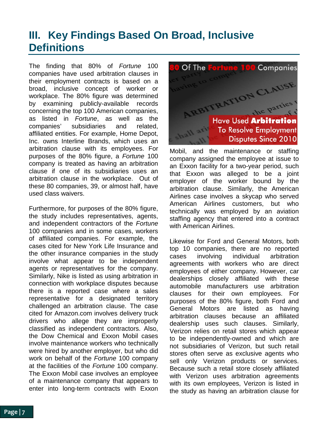## <span id="page-6-0"></span>**III. Key Findings Based On Broad, Inclusive Definitions**

The finding that 80% of *Fortune* 100 companies have used arbitration clauses in their employment contracts is based on a broad, inclusive concept of worker or workplace. The 80% figure was determined by examining publicly-available records concerning the top 100 American companies, as listed in *Fortune*, as well as the companies' subsidiaries and related, affiliated entities. For example, Home Depot, Inc. owns Interline Brands, which uses an arbitration clause with its employees. For purposes of the 80% figure, a *Fortune* 100 company is treated as having an arbitration clause if one of its subsidiaries uses an arbitration clause in the workplace. Out of these 80 companies, 39, or almost half, have used class waivers.

Furthermore, for purposes of the 80% figure, the study includes representatives, agents, and independent contractors of the *Fortune* 100 companies and in some cases, workers of affiliated companies. For example, the cases cited for New York Life Insurance and the other insurance companies in the study involve what appear to be independent agents or representatives for the company. Similarly, Nike is listed as using arbitration in connection with workplace disputes because there is a reported case where a sales representative for a designated territory challenged an arbitration clause. The case cited for Amazon.com involves delivery truck drivers who allege they are improperly classified as independent contractors. Also, the Dow Chemical and Exxon Mobil cases involve maintenance workers who technically were hired by another employer, but who did work on behalf of the *Fortune* 100 company at the facilities of the *Fortune* 100 company. The Exxon Mobil case involves an employee of a maintenance company that appears to enter into long-term contracts with Exxon



Mobil, and the maintenance or staffing company assigned the employee at issue to an Exxon facility for a two-year period, such that Exxon was alleged to be a joint employer of the worker bound by the arbitration clause. Similarly, the American Airlines case involves a skycap who served American Airlines customers, but who technically was employed by an aviation staffing agency that entered into a contract with American Airlines.

Likewise for Ford and General Motors, both top 10 companies, there are no reported cases involving individual arbitration agreements with workers who are direct employees of either company. However, car dealerships closely affiliated with these automobile manufacturers use arbitration clauses for their own employees. For purposes of the 80% figure, both Ford and General Motors are listed as having arbitration clauses because an affiliated dealership uses such clauses. Similarly, Verizon relies on retail stores which appear to be independently-owned and which are not subsidiaries of Verizon, but such retail stores often serve as exclusive agents who sell only Verizon products or services. Because such a retail store closely affiliated with Verizon uses arbitration agreements with its own employees, Verizon is listed in the study as having an arbitration clause for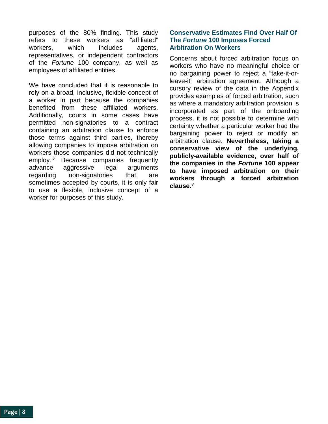purposes of the 80% finding. This study refers to these workers as "affiliated" workers, which includes agents, representatives, or independent contractors of the *Fortune* 100 company, as well as employees of affiliated entities.

We have concluded that it is reasonable to rely on a broad, inclusive, flexible concept of a worker in part because the companies benefited from these affiliated workers. Additionally, courts in some cases have permitted non-signatories to a contract containing an arbitration clause to enforce those terms against third parties, thereby allowing companies to impose arbitration on workers those companies did not technically employ. [iv](#page-11-4) Because companies frequently advance aggressive legal arguments regarding non-signatories that are sometimes accepted by courts, it is only fair to use a flexible, inclusive concept of a worker for purposes of this study.

#### **Conservative Estimates Find Over Half Of The** *Fortune* **100 Imposes Forced Arbitration On Workers**

Concerns about forced arbitration focus on workers who have no meaningful choice or no bargaining power to reject a "take-it-orleave-it" arbitration agreement. Although a cursory review of the data in the Appendix provides examples of forced arbitration, such as where a mandatory arbitration provision is incorporated as part of the onboarding process, it is not possible to determine with certainty whether a particular worker had the bargaining power to reject or modify an arbitration clause. **Nevertheless, taking a conservative view of the underlying, publicly-available evidence, over half of the companies in the** *Fortune* **100 appear to have imposed arbitration on their workers through a forced arbitration clause.**[v](#page-11-5)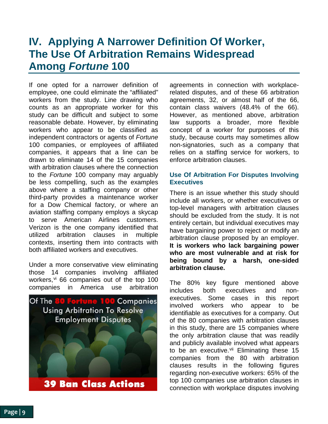### <span id="page-8-0"></span>**IV. Applying A Narrower Definition Of Worker, The Use Of Arbitration Remains Widespread Among** *Fortune* **100**

If one opted for a narrower definition of employee, one could eliminate the "affiliated" workers from the study. Line drawing who counts as an appropriate worker for this study can be difficult and subject to some reasonable debate. However, by eliminating workers who appear to be classified as independent contractors or agents of *Fortune* 100 companies, or employees of affiliated companies, it appears that a line can be drawn to eliminate 14 of the 15 companies with arbitration clauses where the connection to the *Fortune* 100 company may arguably be less compelling, such as the examples above where a staffing company or other third-party provides a maintenance worker for a Dow Chemical factory, or where an aviation staffing company employs a skycap to serve American Airlines customers. Verizon is the one company identified that utilized arbitration clauses in multiple contexts, inserting them into contracts with both affiliated workers and executives.

Under a more conservative view eliminating those 14 companies involving affiliated workers, [vi](#page-11-6) 66 companies out of the top 100 companies in America use arbitration



agreements in connection with workplacerelated disputes, and of these 66 arbitration agreements, 32, or almost half of the 66, contain class waivers (48.4% of the 66). However, as mentioned above, arbitration law supports a broader, more flexible concept of a worker for purposes of this study, because courts may sometimes allow non-signatories, such as a company that relies on a staffing service for workers, to enforce arbitration clauses.

#### **Use Of Arbitration For Disputes Involving Executives**

There is an issue whether this study should include all workers, or whether executives or top-level managers with arbitration clauses should be excluded from the study. It is not entirely certain, but individual executives may have bargaining power to reject or modify an arbitration clause proposed by an employer. **It is workers who lack bargaining power who are most vulnerable and at risk for being bound by a harsh, one-sided arbitration clause.**

The 80% key figure mentioned above includes both executives and nonexecutives. Some cases in this report involved workers who appear to be identifiable as executives for a company. Out of the 80 companies with arbitration clauses in this study, there are 15 companies where the only arbitration clause that was readily and publicly available involved what appears to be an executive.<sup>[vii](#page-11-7)</sup> Eliminating these 15 companies from the 80 with arbitration clauses results in the following figures regarding non-executive workers: 65% of the top 100 companies use arbitration clauses in connection with workplace disputes involving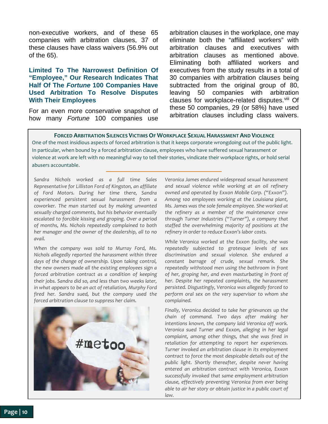non-executive workers, and of these 65 companies with arbitration clauses, 37 of these clauses have class waivers (56.9% out of the 65).

#### **Limited To The Narrowest Definition Of "Employee," Our Research Indicates That Half Of The** *Fortune* **100 Companies Have Used Arbitration To Resolve Disputes With Their Employees**

For an even more conservative snapshot of how many *Fortune* 100 companies use arbitration clauses in the workplace, one may eliminate both the "affiliated workers" with arbitration clauses and executives with arbitration clauses as mentioned above. Eliminating both affiliated workers and executives from the study results in a total of 30 companies with arbitration clauses being subtracted from the original group of 80, leaving 50 companies with arbitration clauses for workplace-related disputes. Vili Of these 50 companies, 29 (or 58%) have used arbitration clauses including class waivers.

In particular, when bound by a forced arbitration clause, employees who have suffered sexual harassment or abusers accountable. rights. To add insult to injury, a worker who in the insult to injury, a worker who **FORCED ARBITRATION SILENCES VICTIMS OF WORKPLACE SEXUAL HARASSMENT AND VIOLENCE**  One of the most insidious aspects of forced arbitration is that it keeps corporate wrongdoing out of the public light. violence at work are left with no meaningful way to tell their stories, vindicate their workplace rights, or hold serial abusers accountable.

definition of worker, or a more conservative *Sandra Nichols worked as a full time Sales*  view of worker (excluding affiliated workers, *Representative for Lilliston Ford of Kingston, an affiliate*  of Ford Motors. During her time there, Sandra experienced persistent sexual harassment from a coworker. The man started out by making unwanted sexually charged comments, but his behavior eventually escalated to forcible kissing and groping. Over a period *escalated to forcible kissing and groping.* by months, ws. Nichols repeatedly complained to both her manager and the owner of the dealership, all to no<br>*a*vail *of months, Ms. Nichols repeatedly complained to both avail.* 

*W[he](#page-11-9)n the company was sold to Murray Ford, Ms.* when the company was sold to murray Ford, ms.<br>Nichols allegedly reported the harassment within three the new owners made all the existing employees sign a forced arbitration contract as a condition of keeping their jobs. Sandra did so, and less than two weeks later, in what appears to be an act of retaliation, Murphy Ford fired her. Sandra sued, but the company used the forced arbitration, critical wage claims and *forced arbitration clause to suppress her claim. days of the change of ownership. Upon taking control,* 



has been wronged by his or her employer *Veronica James endured widespread sexual harassment reformed sames emalied macepredd sexual matessment* and sexual violence while working at an oil refinery owned and operated by Exxon Mobile Corp. ("Exxon"). Among 100 employees working at the Louisiana plant, Ms. James was the sole female employee. She worked at  $\overline{\phantom{a}}$ the refinery as a member of the maintenance crew justice system. *through Turner Industries ("Turner"), a company that*  Amery in order to reduce EXXON STADON costs. *staffed the overwhelming majority of positions at the refinery in order to reduce Exxon's labor costs.* 

*While Veronica worked at the Exxon facility, she was* repeateury subjected to grotesque levels of sex<br>discrimination and sexual violence. She endured a 1920s wisely intended to exclude all *constant barrage of crude, sexual remark. She*  repeatedly withstood men using the bathroom in front of her, groping her, and even masturbating in front of her. Despite her repeated complaints, the harassment law. It is hoped that this study can inform the *persist[ed](#page-11-10). Disgustingly, Veronica was allegedly forced to*  perform oral sex on the very supervisor to whom she policymakers, academics, academics, academics, academics, academics, academics, academics, academics, academics, academics, academics, academics, academics, academics, academics, academics, academics, academics, academics, *repeatedly subjected to grotesque levels of sex complained.* 

Finally, Veronica decided to take her grievances up the  $\hspace{0.1mm}$ arbitration for workplace-related disputes. *chain of command. Two days after making her complaint, among other things, that she was fired in complaint, among other things, that she was fired in retaliation for attempting to report her experiences.* **Turner invoked an arbitration clause in its employment** contract to force the most despicable details out of the [info@employeerightsadvocacy.org.](mailto:info@employeerightsadvocacy.org) *public light. Shortly thereafter, despite never having intentions known, the company laid Veronica off work. Veronica sued Turner and Exxon, alleging in her legal entered an arbitration contract with Veronica, Exxon successfully invoked that same employment arbitration clause, effectively preventing Veronica from ever being able to air her story or obtain justice in a public court of law.*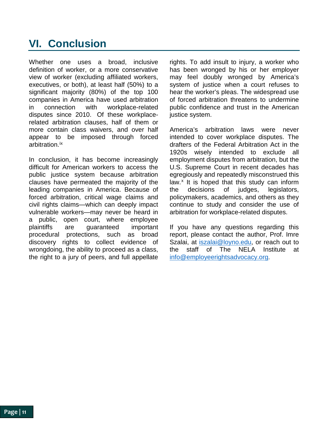# <span id="page-10-0"></span>**VI. Conclusion**

Whether one uses a broad, inclusive definition of worker, or a more conservative view of worker (excluding affiliated workers, executives, or both), at least half (50%) to a significant majority (80%) of the top 100 companies in America have used arbitration<br>in connection with workplace-related in connection with workplace-related disputes since 2010. Of these workplacerelated arbitration clauses, half of them or more contain class waivers, and over half appear to be imposed through forced arbitration. [ix](#page-11-11)

In conclusion, it has become increasingly difficult for American workers to access the public justice system because arbitration clauses have permeated the majority of the leading companies in America. Because of forced arbitration, critical wage claims and civil rights claims—which can deeply impact vulnerable workers—may never be heard in a public, open court, where employee plaintiffs are guaranteed important procedural protections, such as broad discovery rights to collect evidence of wrongdoing, the ability to proceed as a class, the right to a jury of peers, and full appellate

rights. To add insult to injury, a worker who has been wronged by his or her employer may feel doubly wronged by America's system of justice when a court refuses to hear the worker's pleas. The widespread use of forced arbitration threatens to undermine public confidence and trust in the American justice system.

America's arbitration laws were never intended to cover workplace disputes. The drafters of the Federal Arbitration Act in the 1920s wisely intended to exclude all employment disputes from arbitration, but the U.S. Supreme Court in recent decades has egregiously and repeatedly misconstrued this law. $x$  It is hoped that this study can inform the decisions of judges, legislators, policymakers, academics, and others as they continue to study and consider the use of arbitration for workplace-related disputes.

If you have any questions regarding this report, please contact the author, Prof. Imre Szalai, at [iszalai@loyno.edu,](mailto:iszalai@loyno.edu) or reach out to the staff of The NELA Institute at [info@employeerightsadvocacy.org.](mailto:info@employeerightsadvocacy.org)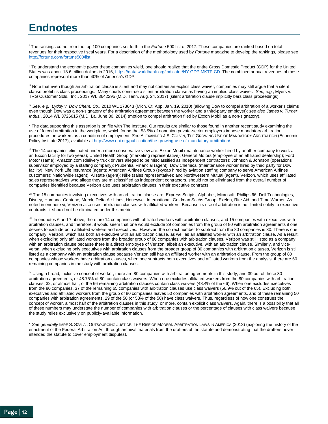### <span id="page-11-0"></span>**Endnotes**

<span id="page-11-1"></span><sup>i</sup> The rankings come from the top 100 companies set forth in the *Fortune* 500 list of 2017. These companies are ranked based on total revenues for their respective fiscal years. For a description of the methodology used by *Fortune* magazine to develop the rankings, please see [http://fortune.com/fortune500/list.](http://fortune.com/fortune500/list)

<span id="page-11-2"></span>ii To understand the economic power these companies wield, one should realize that the entire Gross Domestic Product (GDP) for the United States was about 18.6 trillion dollars in 2016, [https://data.worldbank.org/indicator/NY.GDP.MKTP.CD.](https://data.worldbank.org/indicator/NY.GDP.MKTP.CD) The combined annual revenues of these companies represent more than 40% of America's GDP.

<span id="page-11-3"></span>iii Note that even though an arbitration clause is silent and may not contain an explicit class waiver, companies may still argue that a silent clause prohibits class proceedings. Many courts construe a silent arbitration clause as having an implied class waiver. *See, e.g.*, Myers v. TRG Customer Sols., Inc., 2017 WL 3642295 (M.D. Tenn. Aug. 24, 2017) (silent arbitration clause implicitly bars class proceedings).

<span id="page-11-4"></span>iv *See, e.g.*, *Lyddy v. Dow Chem. Co.*, 2010 WL 173643 (Mich. Ct. App. Jan. 19, 2010) (allowing Dow to compel arbitration of a worker's claims even though Dow was a non-signatory of the arbitration agreement between the worker and a third-party employer); *see also James v. Turner Indus.*, 2014 WL 3726615 (M.D. La. June 30, 2014) (motion to compel arbitration filed by Exxon Mobil as a non-signatory).

<span id="page-11-5"></span><sup>v</sup> The data supporting this assertion is on file with The Institute. Our results are similar to those found in another recent study examining the use of forced arbitration in the workplace, which found that 53.9% of nonunion private-sector employers impose mandatory arbitration procedures on workers as a condition of employment. *See* ALEXANDER J.S. COLVIN, THE GROWING USE OF MANDATORY ARBITRATION (Economic Policy Institute 2017), available a[t http://www.epi.org/publication/the-growing-use-of-mandatory-arbitration/.](http://www.epi.org/publication/the-growing-use-of-mandatory-arbitration/)

<span id="page-11-6"></span>vi The 14 companies eliminated under a more conservative view are: Exxon Mobil (maintenance worker hired by another company to work at an Exxon facility for two years); United Health Group (marketing representative); General Motors (employee of an affiliated dealership); Ford Motor (same); Amazon.com (delivery truck drivers alleged to be misclassified as independent contractors); Johnson & Johnson (operations supervisor employed by a staffing company); Prudential Financial (agent); Dow Chemical (maintenance worker hired by third party for Dow facility); New York Life Insurance (agent); American Airlines Group (skycap hired by aviation staffing company to serve American Airlines customers); Nationwide (agent); Allstate (agent); Nike (sales representative); and Northwestern Mutual (agent). Verizon, which uses affiliated sales representatives who allege they are misclassified as independent contractors, should not be eliminated from the overall number of companies identified because Verizon also uses arbitration clauses in their executive contracts.

<span id="page-11-7"></span>vii The 15 companies involving executives with an arbitration clause are: Express Scripts, Alphabet, Microsoft, Phillips 66, Dell Technologies, Disney, Humana, Centene, Merck, Delta Air Lines, Honeywell International, Goldman Sachs Group, Exelon, Rite Aid, and Time Warner. As noted in endnote vi, Verizon also uses arbitration clauses with affiliated workers. Because its use of arbitration is not limited solely to executive contracts, it should not be eliminated under this metric.

<span id="page-11-8"></span>viii In endnotes 6 and 7 above, there are 14 companies with affiliated workers with arbitration clauses, and 15 companies with executives with arbitration clauses, and therefore, it would seem that one would exclude 29 companies from the group of 80 with arbitration agreements if one desires to exclude both affiliated workers and executives. However, the correct number to subtract from the 80 companies is 30. There is one company, Verizon, which has both an executive with an arbitration clause, as well as an affiliated worker with an arbitration clause. As a result, when excluding only affiliated workers from the broader group of 80 companies with arbitration clauses, Verizon was still listed as a company with an arbitration clause because there is a direct employee of Verizon, albeit an executive, with an arbitration clause. Similarly, and viceversa, when excluding only executives with arbitration clauses from the broader group of 80 companies with arbitration clauses, Verizon is still listed as a company with an arbitration clause because Verizon still has an affiliated worker with an arbitration clause. From the group of 80 companies whose workers have arbitration clauses, when one subtracts both executives and affiliated workers from the analysis, there are 50 remaining companies in the study with arbitration clauses.

<span id="page-11-9"></span>ix Using a broad, inclusive concept of worker, there are 80 companies with arbitration agreements in this study, and 39 out of these 80 arbitration agreements, or 48.75% of 80, contain class waivers. When one excludes affiliated workers from the 80 companies with arbitration clauses, 32, or almost half, of the 66 remaining arbitration clauses contain class waivers (48.4% of the 66). When one excludes executives from the 80 companies, 37 of the remaining 65 companies with arbitration clauses use class waivers (56.9% out of the 65). Excluding both executives and affiliated workers from the group of 80 companies leaves 50 companies with arbitration agreements, and of these remaining 50 companies with arbitration agreements, 29 of the 50 (or 58% of the 50) have class waivers. Thus, regardless of how one construes the concept of worker, almost half of the arbitration clauses in this study, or more, contain explicit class waivers. Again, there is a possibility that all of these numbers may understate the number of companies with arbitration clauses or the percentage of clauses with class waivers because the study relies exclusively on publicly-available information.

<span id="page-11-12"></span><span id="page-11-11"></span><span id="page-11-10"></span><sup>x</sup> *See generally* IMRE S. SZALAI, OUTSOURCING JUSTICE: THE RISE OF MODERN ARBITRATION LAWS IN AMERICA (2013) (exploring the history of the enactment of the Federal Arbitration Act through archival materials from the drafters of the statute and demonstrating that the drafters never intended the statute to cover employment disputes).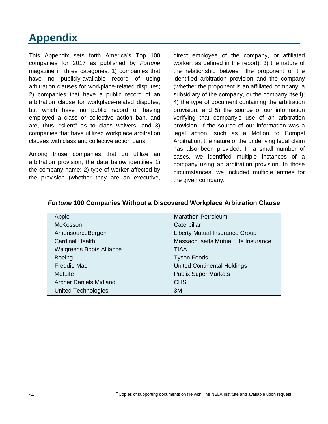# <span id="page-12-0"></span>**Appendix**

This Appendix sets forth America's Top 100 companies for 2017 as published by *Fortune* magazine in three categories: 1) companies that have no publicly-available record of using arbitration clauses for workplace-related disputes; 2) companies that have a public record of an arbitration clause for workplace-related disputes, but which have no public record of having employed a class or collective action ban, and are, thus, "silent" as to class waivers; and 3) companies that have utilized workplace arbitration clauses with class and collective action bans.

Among those companies that do utilize an arbitration provision, the data below identifies 1) the company name; 2) type of worker affected by the provision (whether they are an executive, direct employee of the company, or affiliated worker, as defined in the report); 3) the nature of the relationship between the proponent of the identified arbitration provision and the company (whether the proponent is an affiliated company, a subsidiary of the company, or the company itself); 4) the type of document containing the arbitration provision; and 5) the source of our information verifying that company's use of an arbitration provision. If the source of our information was a legal action, such as a Motion to Compel Arbitration, the nature of the underlying legal claim has also been provided. In a small number of cases, we identified multiple instances of a company using an arbitration provision. In those circumstances, we included multiple entries for the given company.

| Apple                           | <b>Marathon Petroleum</b>             |
|---------------------------------|---------------------------------------|
| <b>McKesson</b>                 | Caterpillar                           |
| AmerisourceBergen               | <b>Liberty Mutual Insurance Group</b> |
| <b>Cardinal Health</b>          | Massachusetts Mutual Life Insurance   |
| <b>Walgreens Boots Alliance</b> | TIAA                                  |
| <b>Boeing</b>                   | <b>Tyson Foods</b>                    |
| <b>Freddie Mac</b>              | <b>United Continental Holdings</b>    |
| MetLife                         | <b>Publix Super Markets</b>           |
| <b>Archer Daniels Midland</b>   | <b>CHS</b>                            |
| <b>United Technologies</b>      | 3M                                    |

#### *Fortune* **100 Companies Without a Discovered Workplace Arbitration Clause**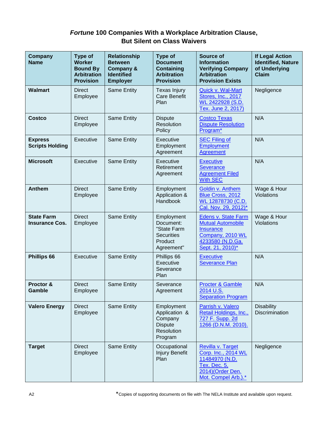### *Fortune* **100 Companies With a Workplace Arbitration Clause, But Silent on Class Waivers**

| <b>Company</b><br><b>Name</b>              | <b>Type of</b><br><b>Worker</b><br><b>Bound By</b><br><b>Arbitration</b><br><b>Provision</b> | <b>Relationship</b><br><b>Between</b><br>Company &<br><b>Identified</b><br><b>Employer</b> | <b>Type of</b><br><b>Document</b><br><b>Containing</b><br><b>Arbitration</b><br><b>Provision</b> | Source of<br><b>Information</b><br><b>Verifying Company</b><br><b>Arbitration</b><br><b>Provision Exists</b>                           | <b>If Legal Action</b><br><b>Identified, Nature</b><br>of Underlying<br><b>Claim</b> |
|--------------------------------------------|----------------------------------------------------------------------------------------------|--------------------------------------------------------------------------------------------|--------------------------------------------------------------------------------------------------|----------------------------------------------------------------------------------------------------------------------------------------|--------------------------------------------------------------------------------------|
| <b>Walmart</b>                             | <b>Direct</b><br>Employee                                                                    | Same Entity                                                                                | Texas Injury<br><b>Care Benefit</b><br>Plan                                                      | Quick v. Wal-Mart<br>Stores, Inc., 2017<br>WL 2422928 (S.D.<br>Tex. June 2, 2017)                                                      | Negligence                                                                           |
| <b>Costco</b>                              | <b>Direct</b><br>Employee                                                                    | Same Entity                                                                                | <b>Dispute</b><br>Resolution<br>Policy                                                           | <b>Costco Texas</b><br><b>Dispute Resolution</b><br>Program*                                                                           | N/A                                                                                  |
| <b>Express</b><br><b>Scripts Holding</b>   | Executive                                                                                    | Same Entity                                                                                | Executive<br>Employment<br>Agreement                                                             | <b>SEC Filing of</b><br><b>Employment</b><br>Agreement                                                                                 | N/A                                                                                  |
| <b>Microsoft</b>                           | Executive                                                                                    | Same Entity                                                                                | Executive<br>Retirement<br>Agreement                                                             | <b>Executive</b><br><b>Severance</b><br><b>Agreement Filed</b><br><b>With SEC</b>                                                      | N/A                                                                                  |
| <b>Anthem</b>                              | <b>Direct</b><br>Employee                                                                    | Same Entity                                                                                | Employment<br>Application &<br>Handbook                                                          | Goldin v. Anthem<br>Blue Cross, 2012<br>WL 12878730 (C.D.<br>Cal. Nov. 29, 2012)*                                                      | Wage & Hour<br>Violations                                                            |
| <b>State Farm</b><br><b>Insurance Cos.</b> | <b>Direct</b><br>Employee                                                                    | <b>Same Entity</b>                                                                         | Employment<br>Document:<br>"State Farm<br><b>Securities</b><br>Product<br>Agreement"             | <b>Edens v. State Farm</b><br><b>Mutual Automobile</b><br><b>Insurance</b><br>Company, 2010 WL<br>4233580 (N.D.Ga.<br>Sept. 21, 2010)* | Wage & Hour<br>Violations                                                            |
| Phillips 66                                | Executive                                                                                    | Same Entity                                                                                | Phillips 66<br>Executive<br>Severance<br>Plan                                                    | <b>Executive</b><br><b>Severance Plan</b>                                                                                              | N/A                                                                                  |
| Proctor &<br>Gamble                        | <b>Direct</b><br>Employee                                                                    | Same Entity                                                                                | Severance<br>Agreement                                                                           | <b>Procter &amp; Gamble</b><br>2014 U.S.<br><b>Separation Program</b>                                                                  | N/A                                                                                  |
| <b>Valero Energy</b>                       | <b>Direct</b><br>Employee                                                                    | Same Entity                                                                                | Employment<br>Application &<br>Company<br><b>Dispute</b><br>Resolution<br>Program                | Parrish v. Valero<br>Retail Holdings, Inc.,<br>727 F. Supp. 2d<br>1266 (D.N.M. 2010).                                                  | <b>Disability</b><br>Discrimination                                                  |
| <b>Target</b>                              | <b>Direct</b><br>Employee                                                                    | Same Entity                                                                                | Occupational<br>Injury Benefit<br>Plan                                                           | Revilla v. Target<br>Corp. Inc., 2014 WL<br>11484970 (N.D.<br>Tex. Dec. 5,<br>2014) (Order Den.<br>Mot. Compel Arb.).*                 | Negligence                                                                           |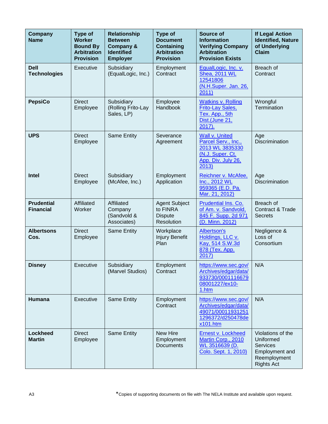| <b>Company</b><br><b>Name</b>         | Type of<br><b>Worker</b><br><b>Bound By</b><br><b>Arbitration</b><br><b>Provision</b> | <b>Relationship</b><br><b>Between</b><br><b>Company &amp;</b><br><b>Identified</b><br><b>Employer</b> | <b>Type of</b><br><b>Document</b><br><b>Containing</b><br><b>Arbitration</b><br><b>Provision</b> | Source of<br><b>Information</b><br><b>Verifying Company</b><br><b>Arbitration</b><br><b>Provision Exists</b> | <b>If Legal Action</b><br><b>Identified, Nature</b><br>of Underlying<br><b>Claim</b>                     |
|---------------------------------------|---------------------------------------------------------------------------------------|-------------------------------------------------------------------------------------------------------|--------------------------------------------------------------------------------------------------|--------------------------------------------------------------------------------------------------------------|----------------------------------------------------------------------------------------------------------|
| <b>Dell</b><br><b>Technologies</b>    | Executive                                                                             | Subsidiary<br>(EqualLogic, Inc.)                                                                      | Employment<br>Contract                                                                           | EqualLogic, Inc. v.<br><b>Shea, 2011 WL</b><br>12541806<br>(N.H.Super. Jan. 26,<br>2011)                     | Breach of<br>Contract                                                                                    |
| <b>PepsiCo</b>                        | <b>Direct</b><br>Employee                                                             | Subsidiary<br>(Rolling Frito-Lay<br>Sales, LP)                                                        | Employee<br>Handbook                                                                             | <b>Watkins v. Rolling</b><br><b>Frito-Lay Sales,</b><br>Tex. App., 5th<br>Dist.(June 21,<br>$2017$ ).        | Wrongful<br>Termination                                                                                  |
| <b>UPS</b>                            | <b>Direct</b><br>Employee                                                             | Same Entity                                                                                           | Severance<br>Agreement                                                                           | Wall v. United<br>Parcel Serv., Inc.,<br>2013 WL 3835330<br>(N.J. Super. Ct.<br>App. Div. July 26,<br>2013)  | Age<br>Discrimination                                                                                    |
| Intel                                 | <b>Direct</b><br>Employee                                                             | Subsidiary<br>(McAfee, Inc.)                                                                          | Employment<br>Application                                                                        | Reichner v. McAfee,<br>Inc., 2012 WL<br>959365 (E.D. Pa.<br>Mar. 21, 2012)                                   | Age<br><b>Discrimination</b>                                                                             |
| <b>Prudential</b><br><b>Financial</b> | Affiliated<br>Worker                                                                  | Affiliated<br>Company<br>(Sandvold &<br>Associates)                                                   | <b>Agent Subject</b><br>to FINRA<br><b>Dispute</b><br>Resolution                                 | Prudential Ins. Co.<br>of Am. v. Sandvold,<br>845 F. Supp. 2d 971<br>(D. Minn. 2012)                         | Breach of<br>Contract & Trade<br><b>Secrets</b>                                                          |
| <b>Albertsons</b><br>Cos.             | <b>Direct</b><br>Employee                                                             | Same Entity                                                                                           | Workplace<br><b>Injury Benefit</b><br>Plan                                                       | <b>Albertson's</b><br>Holdings, LLC v.<br>Kay, 514 S.W.3d<br>878 (Tex. App.<br>2017)                         | Negligence &<br>Loss of<br>Consortium                                                                    |
| <b>Disney</b>                         | Executive                                                                             | Subsidiary<br>(Marvel Studios)                                                                        | Employment<br>Contract                                                                           | https://www.sec.gov/<br>Archives/edgar/data/<br>933730/0001116679<br>08001227/ex10-<br>1.htm                 | N/A                                                                                                      |
| Humana                                | Executive                                                                             | Same Entity                                                                                           | Employment<br>Contract                                                                           | https://www.sec.gov/<br>Archives/edgar/data/<br>49071/00011931251<br>1296372/d250478de<br>x101.htm           | N/A                                                                                                      |
| <b>Lockheed</b><br><b>Martin</b>      | <b>Direct</b><br>Employee                                                             | Same Entity                                                                                           | <b>New Hire</b><br>Employment<br><b>Documents</b>                                                | Ernest v. Lockheed<br>Martin Corp., 2010<br>WL 3516639 (D.<br>Colo. Sept. 1, 2010)                           | Violations of the<br>Uniformed<br><b>Services</b><br>Employment and<br>Reemployment<br><b>Rights Act</b> |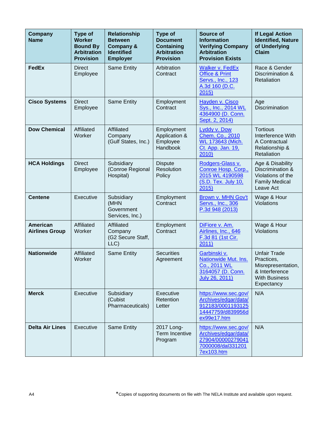| <b>Company</b><br><b>Name</b>            | <b>Type of</b><br><b>Worker</b><br><b>Bound By</b><br><b>Arbitration</b><br><b>Provision</b> | <b>Relationship</b><br><b>Between</b><br><b>Company &amp;</b><br><b>Identified</b><br><b>Employer</b> | <b>Type of</b><br><b>Document</b><br><b>Containing</b><br><b>Arbitration</b><br><b>Provision</b> | Source of<br><b>Information</b><br><b>Verifying Company</b><br><b>Arbitration</b><br><b>Provision Exists</b> | <b>If Legal Action</b><br><b>Identified, Nature</b><br>of Underlying<br><b>Claim</b>                            |
|------------------------------------------|----------------------------------------------------------------------------------------------|-------------------------------------------------------------------------------------------------------|--------------------------------------------------------------------------------------------------|--------------------------------------------------------------------------------------------------------------|-----------------------------------------------------------------------------------------------------------------|
| <b>FedEx</b>                             | <b>Direct</b><br>Employee                                                                    | <b>Same Entity</b>                                                                                    | Arbitration<br>Contract                                                                          | <b>Walker v. FedEx</b><br><b>Office &amp; Print</b><br>Servs., Inc., 123<br>A.3d 160 (D.C.<br>2015)          | Race & Gender<br>Discrimination &<br>Retaliation                                                                |
| <b>Cisco Systems</b>                     | <b>Direct</b><br>Employee                                                                    | <b>Same Entity</b>                                                                                    | Employment<br>Contract                                                                           | Hayden v. Cisco<br>Sys., Inc., 2014 WL<br>4364900 (D. Conn.<br>Sept. 2, 2014)                                | Age<br>Discrimination                                                                                           |
| <b>Dow Chemical</b>                      | Affiliated<br>Worker                                                                         | <b>Affiliated</b><br>Company<br>(Gulf States, Inc.)                                                   | Employment<br>Application &<br>Employee<br>Handbook                                              | Lyddy v. Dow<br>Chem. Co., 2010<br>WL 173643 (Mich.<br>Ct. App. Jan. 19,<br>2010)                            | <b>Tortious</b><br>Interference With<br>A Contractual<br>Relationship &<br>Retaliation                          |
| <b>HCA Holdings</b>                      | <b>Direct</b><br>Employee                                                                    | Subsidiary<br>(Conroe Regional<br>Hospital)                                                           | <b>Dispute</b><br>Resolution<br>Policy                                                           | Rodgers-Glass v.<br>Conroe Hosp. Corp.,<br>2015 WL 4190598<br>(S.D. Tex. July 10,<br>2015)                   | Age & Disability<br>Discrimination &<br>Violations of the<br><b>Family Medical</b><br>Leave Act                 |
| <b>Centene</b>                           | Executive                                                                                    | Subsidiary<br>(MHN<br>Government<br>Services, Inc.)                                                   | Employment<br>Contract                                                                           | Brown v. MHN Gov't<br>Servs., Inc., 306<br>P.3d 948 (2013)                                                   | Wage & Hour<br>Violations                                                                                       |
| <b>American</b><br><b>Airlines Group</b> | Affiliated<br>Worker                                                                         | Affiliated<br>Company<br>(G2 Secure Staff,<br>LLC)                                                    | Employment<br>Contract                                                                           | DiFiore v. Am.<br>Airlines, Inc., 646<br>F.3d 81 (1st Cir.<br>2011)                                          | Wage & Hour<br>Violations                                                                                       |
| <b>Nationwide</b>                        | Affiliated<br>Worker                                                                         | Same Entity                                                                                           | <b>Securities</b><br>Agreement                                                                   | Garbinski v.<br>Nationwide Mut. Ins.<br>Co., 2011 WL<br>3164057 (D. Conn.<br>July 26, 2011)                  | <b>Unfair Trade</b><br>Practices,<br>Misrepresentation,<br>& Interference<br><b>With Business</b><br>Expectancy |
| <b>Merck</b>                             | Executive                                                                                    | Subsidiary<br>(Cubist<br>Pharmaceuticals)                                                             | Executive<br>Retention<br>Letter                                                                 | https://www.sec.gov/<br>Archives/edgar/data/<br>912183/0001193125<br>14447759/d839956d<br>ex99e17.htm        | N/A                                                                                                             |
| <b>Delta Air Lines</b>                   | Executive                                                                                    | Same Entity                                                                                           | 2017 Long-<br>Term Incentive<br>Program                                                          | https://www.sec.gov/<br>Archives/edgar/data/<br>27904/00000279041<br>7000008/dal331201<br><b>7ex103.htm</b>  | N/A                                                                                                             |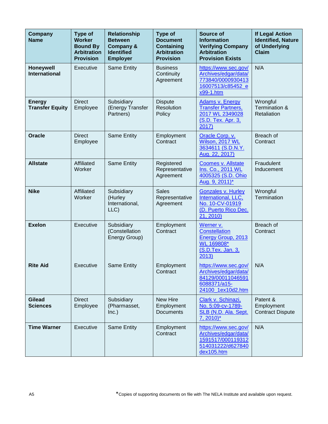| <b>Company</b><br><b>Name</b>           | <b>Type of</b><br><b>Worker</b><br><b>Bound By</b><br><b>Arbitration</b><br><b>Provision</b> | <b>Relationship</b><br><b>Between</b><br><b>Company &amp;</b><br><b>Identified</b><br><b>Employer</b> | <b>Type of</b><br><b>Document</b><br><b>Containing</b><br><b>Arbitration</b><br><b>Provision</b> | Source of<br><b>Information</b><br><b>Verifying Company</b><br><b>Arbitration</b><br><b>Provision Exists</b> | <b>If Legal Action</b><br><b>Identified, Nature</b><br>of Underlying<br><b>Claim</b> |
|-----------------------------------------|----------------------------------------------------------------------------------------------|-------------------------------------------------------------------------------------------------------|--------------------------------------------------------------------------------------------------|--------------------------------------------------------------------------------------------------------------|--------------------------------------------------------------------------------------|
| Honeywell<br><b>International</b>       | Executive                                                                                    | Same Entity                                                                                           | <b>Business</b><br>Continuity<br>Agreement                                                       | https://www.sec.gov/<br>Archives/edgar/data/<br>773840/0000930413<br>16007513/c85452_e<br>x99-1.htm          | N/A                                                                                  |
| <b>Energy</b><br><b>Transfer Equity</b> | <b>Direct</b><br>Employee                                                                    | Subsidiary<br>(Energy Transfer<br>Partners)                                                           | <b>Dispute</b><br>Resolution<br>Policy                                                           | <b>Adams v. Energy</b><br><b>Transfer Partners,</b><br>2017 WL 2349028<br>(S.D. Tex. Apr. 3,<br>2017)        | Wrongful<br>Termination &<br>Retaliation                                             |
| <b>Oracle</b>                           | <b>Direct</b><br>Employee                                                                    | Same Entity                                                                                           | Employment<br>Contract                                                                           | Oracle Corp. v.<br>Wilson, 2017 WL<br>3634611 (S.D.N.Y.<br>Aug. 22, 2017)                                    | Breach of<br>Contract                                                                |
| <b>Allstate</b>                         | Affiliated<br>Worker                                                                         | Same Entity                                                                                           | Registered<br>Representative<br>Agreement                                                        | Coomes v. Allstate<br>Ins. Co., 2011 WL<br>4005325 (S.D. Ohio<br>Aug. 9, 2011)*                              | Fraudulent<br>Inducement                                                             |
| <b>Nike</b>                             | Affiliated<br>Worker                                                                         | Subsidiary<br>(Hurley<br>International,<br>LLC)                                                       | <b>Sales</b><br>Representative<br>Agreement                                                      | <b>Gonzales v. Hurley</b><br>International, LLC,<br>No. 10-CV-01919<br>(D. Puerto Rico Dec.<br>21, 2010)     | Wrongful<br>Termination                                                              |
| <b>Exelon</b>                           | Executive                                                                                    | Subsidiary<br>(Constellation<br>Energy Group)                                                         | Employment<br>Contract                                                                           | Werner v.<br><b>Constellation</b><br>Energy Group, 2013<br>WL 169808*<br>(S.D.Tex. Jan. 3,<br>2013)          | Breach of<br>Contract                                                                |
| <b>Rite Aid</b>                         | <b>Executive</b>                                                                             | <b>Same Entity</b>                                                                                    | Employment<br>Contract                                                                           | https://www.sec.gov/<br>Archives/edgar/data/<br>84129/00011046591<br>6088371/a15-<br>24100_1ex10d2.htm       | N/A                                                                                  |
| <b>Gilead</b><br><b>Sciences</b>        | <b>Direct</b><br>Employee                                                                    | Subsidiary<br>(Pharmasset,<br>Inc.)                                                                   | New Hire<br>Employment<br><b>Documents</b>                                                       | Clark v. Schinazi,<br>No. 5:09-cv-1789-<br>SLB (N.D. Ala. Sept.<br>$7, 2010$ <sup>*</sup>                    | Patent &<br>Employment<br><b>Contract Dispute</b>                                    |
| <b>Time Warner</b>                      | Executive                                                                                    | Same Entity                                                                                           | Employment<br>Contract                                                                           | https://www.sec.gov/<br>Archives/edgar/data/<br>1591517/000119312<br>514031222/d627840<br>dex105.htm         | N/A                                                                                  |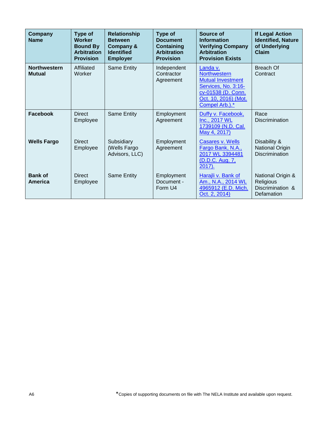| Company<br><b>Name</b>               | Type of<br><b>Worker</b><br><b>Bound By</b><br><b>Arbitration</b><br><b>Provision</b> | <b>Relationship</b><br><b>Between</b><br><b>Company &amp;</b><br><b>Identified</b><br><b>Employer</b> | Type of<br><b>Document</b><br><b>Containing</b><br><b>Arbitration</b><br><b>Provision</b> | Source of<br><b>Information</b><br><b>Verifying Company</b><br><b>Arbitration</b><br><b>Provision Exists</b>                                       | <b>If Legal Action</b><br><b>Identified, Nature</b><br>of Underlying<br>Claim |
|--------------------------------------|---------------------------------------------------------------------------------------|-------------------------------------------------------------------------------------------------------|-------------------------------------------------------------------------------------------|----------------------------------------------------------------------------------------------------------------------------------------------------|-------------------------------------------------------------------------------|
| <b>Northwestern</b><br><b>Mutual</b> | Affiliated<br>Worker                                                                  | Same Entity                                                                                           | Independent<br>Contractor<br>Agreement                                                    | Landa v.<br><b>Northwestern</b><br><b>Mutual Investment</b><br>Services, No. 3:16-<br>cv-01538 (D. Conn.<br>Oct. 10, 2016) (Mot.<br>Compel Arb.).* | Breach Of<br>Contract                                                         |
| Facebook                             | <b>Direct</b><br>Employee                                                             | Same Entity                                                                                           | Employment<br>Agreement                                                                   | Duffy v. Facebook,<br>Inc., 2017 WL<br>1739109 (N.D. Cal.<br>May 4, 2017)                                                                          | Race<br><b>Discrimination</b>                                                 |
| <b>Wells Fargo</b>                   | <b>Direct</b><br>Employee                                                             | Subsidiary<br>(Wells Fargo<br>Advisors, LLC)                                                          | Employment<br>Agreement                                                                   | Casares v. Wells<br>Fargo Bank, N.A.,<br>2017 WL 3394481<br>(D.D.C. Aug. 7,<br>$2017$ ).                                                           | Disability &<br>National Origin<br><b>Discrimination</b>                      |
| <b>Bank of</b><br>America            | <b>Direct</b><br>Employee                                                             | Same Entity                                                                                           | Employment<br>Document -<br>Form U4                                                       | Harajli v. Bank of<br>Am., N.A., 2014 WL<br>4965912 (E.D. Mich.<br>Oct. 2, 2014)                                                                   | National Origin &<br>Religious<br>Discrimination &<br>Defamation              |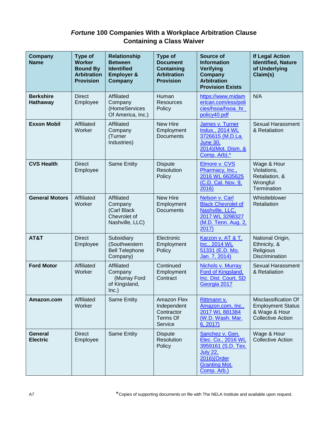### *Fortune* **100 Companies With a Workplace Arbitration Clause Containing a Class Waiver**

| Company<br><b>Name</b>              | <b>Type of</b><br><b>Worker</b><br><b>Bound By</b><br><b>Arbitration</b><br><b>Provision</b> | <b>Relationship</b><br><b>Between</b><br><b>Identified</b><br><b>Employer &amp;</b><br>Company | <b>Type of</b><br><b>Document</b><br><b>Containing</b><br><b>Arbitration</b><br><b>Provision</b> | <b>Source of</b><br><b>Information</b><br>Verifying<br>Company<br><b>Arbitration</b><br><b>Provision Exists</b>                      | <b>If Legal Action</b><br><b>Identified, Nature</b><br>of Underlying<br>Claim(s)              |
|-------------------------------------|----------------------------------------------------------------------------------------------|------------------------------------------------------------------------------------------------|--------------------------------------------------------------------------------------------------|--------------------------------------------------------------------------------------------------------------------------------------|-----------------------------------------------------------------------------------------------|
| <b>Berkshire</b><br><b>Hathaway</b> | <b>Direct</b><br>Employee                                                                    | Affiliated<br>Company<br>(HomeServices<br>Of America, Inc.)                                    | Human<br><b>Resources</b><br>Policy                                                              | https://www.midam<br>erican.com/ess/poli<br>cies/hsoa/hsoa hr<br>policy40.pdf                                                        | N/A                                                                                           |
| <b>Exxon Mobil</b>                  | Affiliated<br>Worker                                                                         | Affiliated<br>Company<br>(Turner<br>Industries)                                                | <b>New Hire</b><br>Employment<br><b>Documents</b>                                                | James v. Turner<br><b>Indus., 2014 WL</b><br>3726615 (M.D.La.<br><b>June 30,</b><br>2014)(Mot. Dism. &<br>Comp. Arb).*               | <b>Sexual Harassment</b><br>& Retaliation                                                     |
| <b>CVS Health</b>                   | <b>Direct</b><br>Employee                                                                    | <b>Same Entity</b>                                                                             | <b>Dispute</b><br>Resolution<br>Policy                                                           | Elmore v. CVS<br>Pharmacy, Inc.,<br>2016 WL 6635625<br>(C.D. Cal. Nov. 9,<br>2016)                                                   | Wage & Hour<br>Violations,<br>Retaliation, &<br>Wrongful<br>Termination                       |
| <b>General Motors</b>               | Affiliated<br>Worker                                                                         | Affiliated<br>Company<br>(Carl Black<br>Chevrolet of<br>Nashville, LLC)                        | <b>New Hire</b><br>Employment<br><b>Documents</b>                                                | Nelson v. Carl<br><b>Black Chevrolet of</b><br>Nashville, LLC,<br>2017 WL 3298327<br>(M.D. Tenn. Aug. 2,<br>2017)                    | Whistleblower<br>Retaliation                                                                  |
| AT&T                                | <b>Direct</b><br>Employee                                                                    | Subsidiary<br>(Southwestern<br><b>Bell Telephone</b><br>Company)                               | Electronic<br>Employment<br>Policy                                                               | Karzon v. AT & T.<br>Inc., 2014 WL<br>51331 (E.D. Mo.<br>Jan. 7, 2014)                                                               | National Origin,<br>Ethnicity, &<br>Religious<br><b>Discrimination</b>                        |
| <b>Ford Motor</b>                   | Affiliated<br>Worker                                                                         | Affiliated<br>Company<br>(Murray Ford<br>of Kingsland,<br>Inc.)                                | Continued<br>Employment<br>Contract                                                              | Nichols v. Murray<br>Ford of Kingsland,<br>Inc. Dist. Court, SD<br>Georgia 2017                                                      | Sexual Harassment<br>& Retaliation                                                            |
| Amazon.com                          | Affiliated<br>Worker                                                                         | Same Entity                                                                                    | Amazon Flex<br>Independent<br>Contractor<br>Terms Of<br>Service                                  | Rittmann v.<br>Amazon.com, Inc.,<br>2017 WL 881384<br>(W.D. Wash. Mar.<br>6, 2017                                                    | Misclassification Of<br><b>Employment Status</b><br>& Wage & Hour<br><b>Collective Action</b> |
| <b>General</b><br><b>Electric</b>   | <b>Direct</b><br>Employee                                                                    | Same Entity                                                                                    | <b>Dispute</b><br>Resolution<br>Policy                                                           | Sanchez v. Gen.<br>Elec. Co., 2016 WL<br>3959161 (S.D. Tex.<br><b>July 22,</b><br>2016)(Order<br><b>Granting Mot.</b><br>Comp. Arb.) | Wage & Hour<br><b>Collective Action</b>                                                       |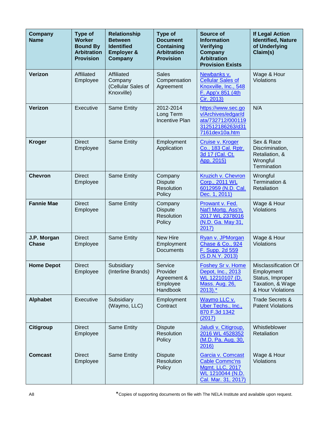| Company<br><b>Name</b>      | <b>Type of</b><br><b>Worker</b><br><b>Bound By</b><br><b>Arbitration</b><br><b>Provision</b> | <b>Relationship</b><br><b>Between</b><br><b>Identified</b><br><b>Employer &amp;</b><br>Company | <b>Type of</b><br><b>Document</b><br><b>Containing</b><br><b>Arbitration</b><br><b>Provision</b> | Source of<br><b>Information</b><br>Verifying<br>Company<br><b>Arbitration</b><br><b>Provision Exists</b> | <b>If Legal Action</b><br><b>Identified, Nature</b><br>of Underlying<br>Claim(s)                |
|-----------------------------|----------------------------------------------------------------------------------------------|------------------------------------------------------------------------------------------------|--------------------------------------------------------------------------------------------------|----------------------------------------------------------------------------------------------------------|-------------------------------------------------------------------------------------------------|
| Verizon                     | Affiliated<br>Employee                                                                       | Affiliated<br>Company<br>(Cellular Sales of<br>Knoxville)                                      | <b>Sales</b><br>Compensation<br>Agreement                                                        | Newbanks v.<br><b>Cellular Sales of</b><br>Knoxville, Inc., 548<br>F. App'x 851 (4th<br>Cir. 2013)       | Wage & Hour<br>Violations                                                                       |
| Verizon                     | Executive                                                                                    | <b>Same Entity</b>                                                                             | 2012-2014<br>Long Term<br><b>Incentive Plan</b>                                                  | https://www.sec.go<br>v/Archives/edgar/d<br>ata/732712/000119<br>312512186263/d31<br>7161dex10a.htm      | N/A                                                                                             |
| <b>Kroger</b>               | <b>Direct</b><br>Employee                                                                    | <b>Same Entity</b>                                                                             | Employment<br>Application                                                                        | Cruise v. Kroger<br>Co., 183 Cal. Rptr.<br>3d 17 (Cal. Ct.<br>App. 2015)                                 | Sex & Race<br>Discrimination,<br>Retaliation, &<br>Wrongful<br>Termination                      |
| <b>Chevron</b>              | <b>Direct</b><br>Employee                                                                    | <b>Same Entity</b>                                                                             | Company<br><b>Dispute</b><br>Resolution<br>Policy                                                | Kruzich v. Chevron<br>Corp., 2011 WL<br>6012959 (N.D. Cal.<br>Dec. 1, 2011)                              | Wrongful<br>Termination &<br>Retaliation                                                        |
| <b>Fannie Mae</b>           | <b>Direct</b><br>Employee                                                                    | Same Entity                                                                                    | Company<br><b>Dispute</b><br>Resolution<br>Policy                                                | Prowant v. Fed.<br>Nat'l Mortg. Ass'n,<br>2017 WL 2378016<br>(N.D. Ga. May 31,<br>2017)                  | Wage & Hour<br>Violations                                                                       |
| J.P. Morgan<br><b>Chase</b> | <b>Direct</b><br>Employee                                                                    | Same Entity                                                                                    | <b>New Hire</b><br>Employment<br><b>Documents</b>                                                | Ryan v. JPMorgan<br>Chase & Co., 924<br>F. Supp. 2d 559<br>(S.D.N.Y. 2013)                               | Wage & Hour<br>Violations                                                                       |
| <b>Home Depot</b>           | <b>Direct</b><br>Employee                                                                    | Subsidiary<br>(Interline Brands)                                                               | Service<br>Provider<br>Agreement &<br>Employee<br>Handbook                                       | <b>Foshey Sr v. Home</b><br>Depot, Inc., 2013<br>WL 12210107 (D.<br><b>Mass. Aug. 26,</b><br>$2013$ .*   | Misclassification Of<br>Employment<br>Status, Improper<br>Taxation, & Wage<br>& Hour Violations |
| <b>Alphabet</b>             | Executive                                                                                    | Subsidiary<br>(Waymo, LLC)                                                                     | Employment<br>Contract                                                                           | Waymo LLC v.<br>Uber Techs., Inc.,<br>870 F.3d 1342<br>(2017)                                            | <b>Trade Secrets &amp;</b><br><b>Patent Violations</b>                                          |
| <b>Citigroup</b>            | <b>Direct</b><br>Employee                                                                    | <b>Same Entity</b>                                                                             | <b>Dispute</b><br>Resolution<br>Policy                                                           | Jaludi v. Citigroup,<br>2016 WL 4528352<br>(M.D. Pa. Aug. 30,<br>2016)                                   | Whistleblower<br>Retaliation                                                                    |
| <b>Comcast</b>              | <b>Direct</b><br>Employee                                                                    | Same Entity                                                                                    | <b>Dispute</b><br>Resolution<br>Policy                                                           | Garcia v. Comcast<br><b>Cable Commc'ns</b><br>Mgmt. LLC, 2017<br>WL 1210044 (N.D.<br>Cal. Mar. 31, 2017) | Wage & Hour<br>Violations                                                                       |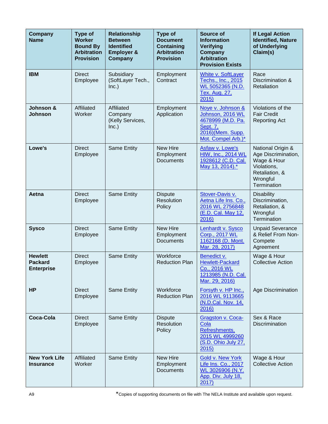| <b>Company</b><br><b>Name</b>                         | <b>Type of</b><br><b>Worker</b><br><b>Bound By</b><br><b>Arbitration</b><br><b>Provision</b> | <b>Relationship</b><br><b>Between</b><br><b>Identified</b><br><b>Employer &amp;</b><br>Company | <b>Type of</b><br><b>Document</b><br><b>Containing</b><br><b>Arbitration</b><br><b>Provision</b> | <b>Source of</b><br><b>Information</b><br>Verifying<br>Company<br><b>Arbitration</b><br><b>Provision Exists</b>  | <b>If Legal Action</b><br><b>Identified, Nature</b><br>of Underlying<br>Claim(s)                                    |
|-------------------------------------------------------|----------------------------------------------------------------------------------------------|------------------------------------------------------------------------------------------------|--------------------------------------------------------------------------------------------------|------------------------------------------------------------------------------------------------------------------|---------------------------------------------------------------------------------------------------------------------|
| <b>IBM</b>                                            | <b>Direct</b><br>Employee                                                                    | Subsidiary<br>(SoftLayer Tech.,<br>Inc.)                                                       | Employment<br>Contract                                                                           | White v. SoftLayer<br>Techs., Inc., 2015<br>WL 5052365 (N.D.<br><b>Tex. Aug. 27,</b><br>2015                     | Race<br>Discrimination &<br>Retaliation                                                                             |
| Johnson &<br><b>Johnson</b>                           | Affiliated<br>Worker                                                                         | Affiliated<br>Company<br>(Kelly Services,<br>Inc.)                                             | Employment<br>Application                                                                        | Noye v. Johnson &<br>Johnson, 2016 WL<br>4678999 (M.D. Pa.<br>Sept. 7,<br>2016)(Mem. Supp.<br>Mot. Compel Arb.)* | Violations of the<br><b>Fair Credit</b><br><b>Reporting Act</b>                                                     |
| Lowe's                                                | <b>Direct</b><br>Employee                                                                    | Same Entity                                                                                    | <b>New Hire</b><br>Employment<br><b>Documents</b>                                                | Asfaw v. Lowe's<br><b>HIW, Inc., 2014 WL</b><br>1928612 (C.D. Cal.<br>May 13, 2014).*                            | National Origin &<br>Age Discrimination,<br>Wage & Hour<br>Violations,<br>Retaliation, &<br>Wrongful<br>Termination |
| Aetna                                                 | <b>Direct</b><br>Employee                                                                    | <b>Same Entity</b>                                                                             | <b>Dispute</b><br>Resolution<br>Policy                                                           | Stover-Davis v.<br>Aetna Life Ins. Co.,<br>2016 WL 2756848<br>(E.D. Cal. May 12,<br>2016)                        | <b>Disability</b><br>Discrimination,<br>Retaliation, &<br>Wrongful<br>Termination                                   |
| <b>Sysco</b>                                          | <b>Direct</b><br>Employee                                                                    | Same Entity                                                                                    | New Hire<br>Employment<br>Documents                                                              | Lenhardt v. Sysco<br>Corp., 2017 WL<br>1162168 (D. Mont.<br>Mar. 28, 2017)                                       | <b>Unpaid Severance</b><br>& Relief From Non-<br>Compete<br>Agreement                                               |
| <b>Hewlett</b><br><b>Packard</b><br><b>Enterprise</b> | <b>Direct</b><br>Employee                                                                    | Same Entity                                                                                    | Workforce<br><b>Reduction Plan</b>                                                               | Benedict v.<br><b>Hewlett-Packard</b><br>Co., 2016 WL<br>1213985 (N.D. Cal.<br>Mar. 29, 2016)                    | Wage & Hour<br><b>Collective Action</b>                                                                             |
| <b>HP</b>                                             | <b>Direct</b><br>Employee                                                                    | Same Entity                                                                                    | Workforce<br><b>Reduction Plan</b>                                                               | Forsyth v. HP Inc.,<br>2016 WL 9113665<br>(N.D.Cal. Nov. 14,<br>2016)                                            | Age Discrimination                                                                                                  |
| <b>Coca-Cola</b>                                      | <b>Direct</b><br>Employee                                                                    | Same Entity                                                                                    | <b>Dispute</b><br>Resolution<br>Policy                                                           | Gragston v. Coca-<br>Cola<br>Refreshments,<br>2015 WL 4999260<br>(S.D. Ohio July 27,<br>2015                     | Sex & Race<br><b>Discrimination</b>                                                                                 |
| <b>New York Life</b><br>Insurance                     | Affiliated<br>Worker                                                                         | <b>Same Entity</b>                                                                             | New Hire<br>Employment<br><b>Documents</b>                                                       | <b>Gold v. New York</b><br>Life Ins. Co., 2017<br>WL 3026906 (N.Y.<br>App. Div. July 18,<br>2017)                | Wage & Hour<br><b>Collective Action</b>                                                                             |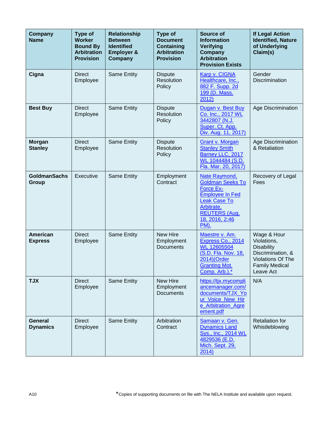| Company<br><b>Name</b>          | <b>Type of</b><br><b>Worker</b><br><b>Bound By</b><br><b>Arbitration</b><br><b>Provision</b> | <b>Relationship</b><br><b>Between</b><br><b>Identified</b><br><b>Employer &amp;</b><br><b>Company</b> | <b>Type of</b><br><b>Document</b><br><b>Containing</b><br><b>Arbitration</b><br><b>Provision</b> | <b>Source of</b><br><b>Information</b><br><b>Verifying</b><br>Company<br><b>Arbitration</b><br><b>Provision Exists</b>                                                        | <b>If Legal Action</b><br><b>Identified, Nature</b><br>of Underlying<br>Claim(s)                                                |
|---------------------------------|----------------------------------------------------------------------------------------------|-------------------------------------------------------------------------------------------------------|--------------------------------------------------------------------------------------------------|-------------------------------------------------------------------------------------------------------------------------------------------------------------------------------|---------------------------------------------------------------------------------------------------------------------------------|
| Cigna                           | <b>Direct</b><br>Employee                                                                    | Same Entity                                                                                           | <b>Dispute</b><br>Resolution<br>Policy                                                           | Karp v. CIGNA<br>Healthcare, Inc.,<br>882 F. Supp. 2d<br>199 (D. Mass.<br>2012)                                                                                               | Gender<br><b>Discrimination</b>                                                                                                 |
| <b>Best Buy</b>                 | <b>Direct</b><br>Employee                                                                    | Same Entity                                                                                           | <b>Dispute</b><br>Resolution<br>Policy                                                           | Dugan v. Best Buy<br>Co. Inc., 2017 WL<br>3442807 (N.J.<br>Super. Ct. App.<br>Div. Aug. 11, 2017)                                                                             | Age Discrimination                                                                                                              |
| <b>Morgan</b><br><b>Stanley</b> | <b>Direct</b><br>Employee                                                                    | Same Entity                                                                                           | <b>Dispute</b><br>Resolution<br>Policy                                                           | <b>Grant v. Morgan</b><br><b>Stanley Smith</b><br>Barney LLC, 2017<br>WL 1044484 (S.D.<br>Fla. Mar. 20, 2017)                                                                 | <b>Age Discrimination</b><br>& Retaliation                                                                                      |
| <b>GoldmanSachs</b><br>Group    | Executive                                                                                    | <b>Same Entity</b>                                                                                    | Employment<br>Contract                                                                           | Nate Raymond,<br><b>Goldman Seeks To</b><br><b>Force Ex-</b><br><b>Employee In Fed</b><br><b>Leak Case To</b><br>Arbitrate,<br><b>REUTERS (Aug.</b><br>18, 2016, 2:46<br>PM). | Recovery of Legal<br>Fees                                                                                                       |
| American<br><b>Express</b>      | <b>Direct</b><br>Employee                                                                    | <b>Same Entity</b>                                                                                    | New Hire<br>Employment<br><b>Documents</b>                                                       | Maestre v. Am.<br>Express Co., 2014<br><b>WL 12605504</b><br>(S.D. Fla. Nov. 18,<br>2014)(Order<br><b>Granting Mot.</b><br>Comp. Arb.).*                                      | Wage & Hour<br>Violations,<br><b>Disability</b><br>Discrimination, &<br>Violations Of The<br><b>Family Medical</b><br>Leave Act |
| <b>TJX</b>                      | <b>Direct</b><br>Employee                                                                    | <b>Same Entity</b>                                                                                    | New Hire<br>Employment<br><b>Documents</b>                                                       | https://tjx.mycompli<br>ancemanager.com/<br>documents/TJX_Yo<br>ur_Voice_New_Hir<br>e Arbitration Agre<br>ement.pdf                                                           | N/A                                                                                                                             |
| General<br><b>Dynamics</b>      | <b>Direct</b><br>Employee                                                                    | <b>Same Entity</b>                                                                                    | Arbitration<br>Contract                                                                          | Samaan v. Gen.<br><b>Dynamics Land</b><br>Sys., Inc., 2014 WL<br>4829536 (E.D.<br>Mich. Sept. 29,<br>2014)                                                                    | <b>Retaliation for</b><br>Whistleblowing                                                                                        |